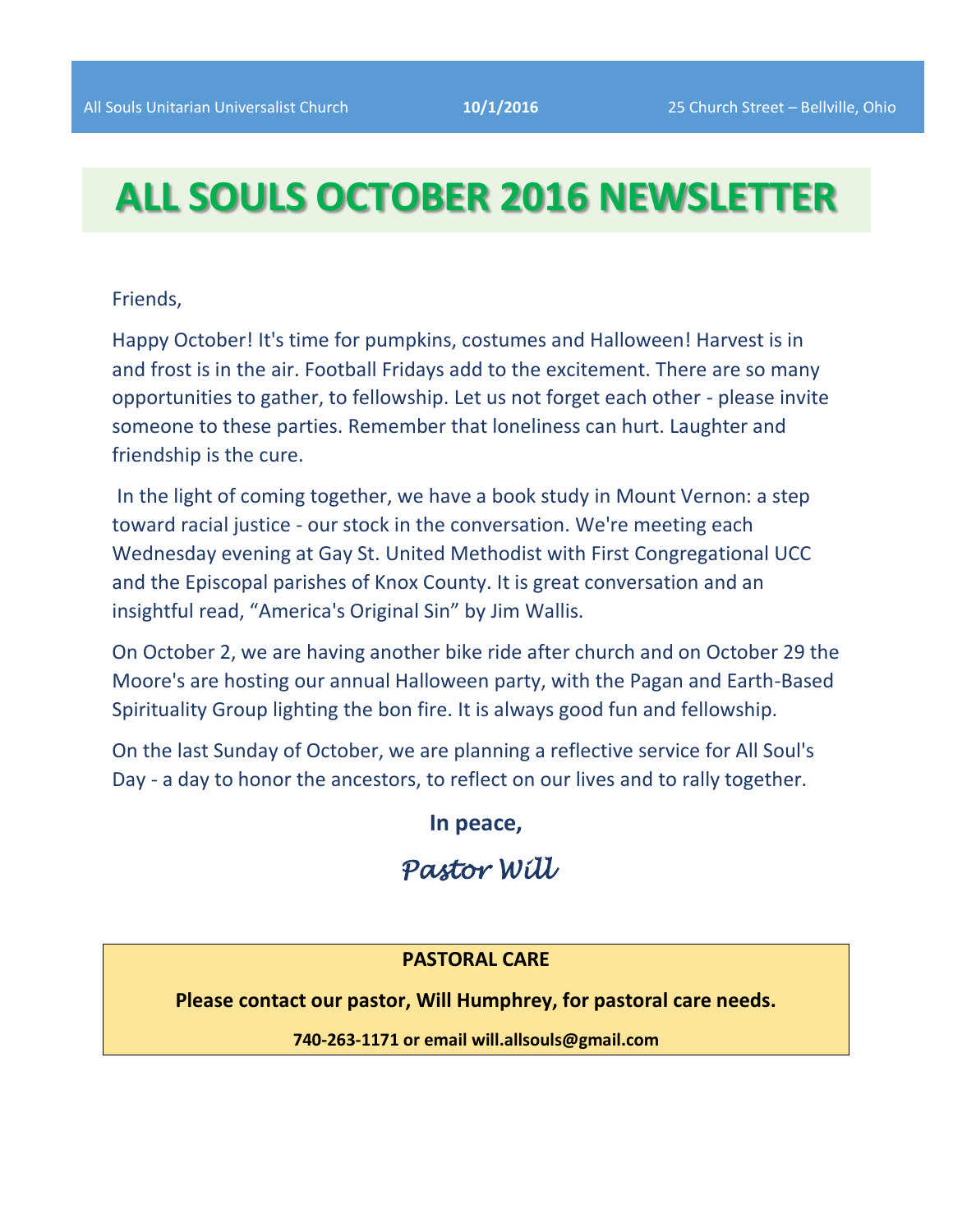# **ALL SOULS OCTOBER 2016 NEWSLETTER**

## Friends,

Happy October! It's time for pumpkins, costumes and Halloween! Harvest is in and frost is in the air. Football Fridays add to the excitement. There are so many opportunities to gather, to fellowship. Let us not forget each other - please invite someone to these parties. Remember that loneliness can hurt. Laughter and friendship is the cure.

In the light of coming together, we have a book study in Mount Vernon: a step toward racial justice - our stock in the conversation. We're meeting each Wednesday evening at Gay St. United Methodist with First Congregational UCC and the Episcopal parishes of Knox County. It is great conversation and an insightful read, "America's Original Sin" by Jim Wallis.

On October 2, we are having another bike ride after church and on October 29 the Moore's are hosting our annual Halloween party, with the Pagan and Earth-Based Spirituality Group lighting the bon fire. It is always good fun and fellowship.

On the last Sunday of October, we are planning a reflective service for All Soul's Day - a day to honor the ancestors, to reflect on our lives and to rally together.

**In peace,**

*Pastor Will* 

# **PASTORAL CARE**

**Please contact our pastor, Will Humphrey, for pastoral care needs.**

**740-263-1171 or email will.allsouls@gmail.com**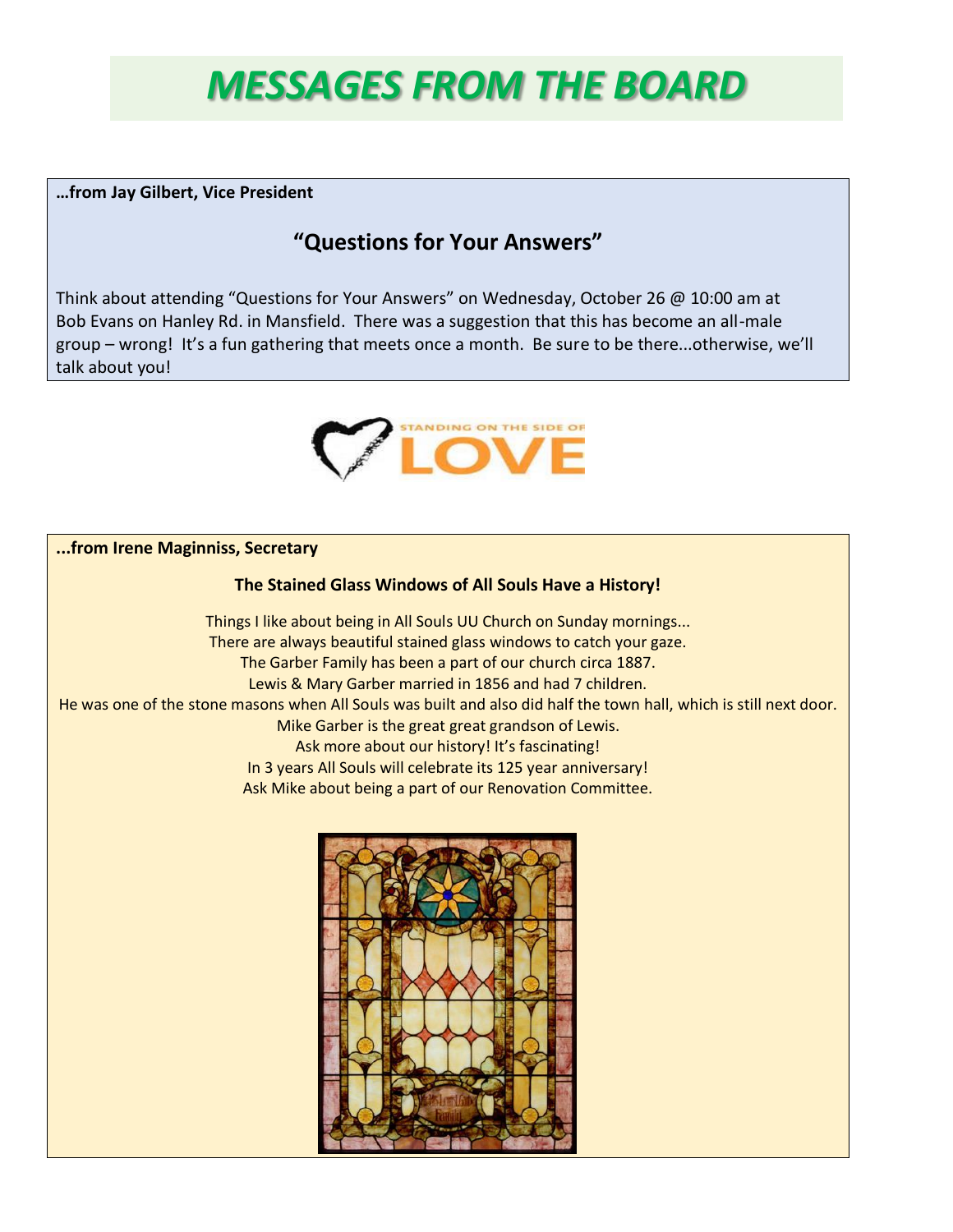# *MESSAGES FROM THE BOARD*

**…from Jay Gilbert, Vice President**

# **"Questions for Your Answers"**

Think about attending "Questions for Your Answers" on Wednesday, October 26 @ 10:00 am at Bob Evans on Hanley Rd. in Mansfield. There was a suggestion that this has become an all-male group – wrong! It's a fun gathering that meets once a month. Be sure to be there...otherwise, we'll talk about you!



**...from Irene Maginniss, Secretary**

## **The Stained Glass Windows of All Souls Have a History!**

Things I like about being in All Souls UU Church on Sunday mornings... There are always beautiful stained glass windows to catch your gaze. The Garber Family has been a part of our church circa 1887. Lewis & Mary Garber married in 1856 and had 7 children. He was one of the stone masons when All Souls was built and also did half the town hall, which is still next door. Mike Garber is the great great grandson of Lewis. Ask more about our history! It's fascinating! In 3 years All Souls will celebrate its 125 year anniversary! Ask Mike about being a part of our Renovation Committee.

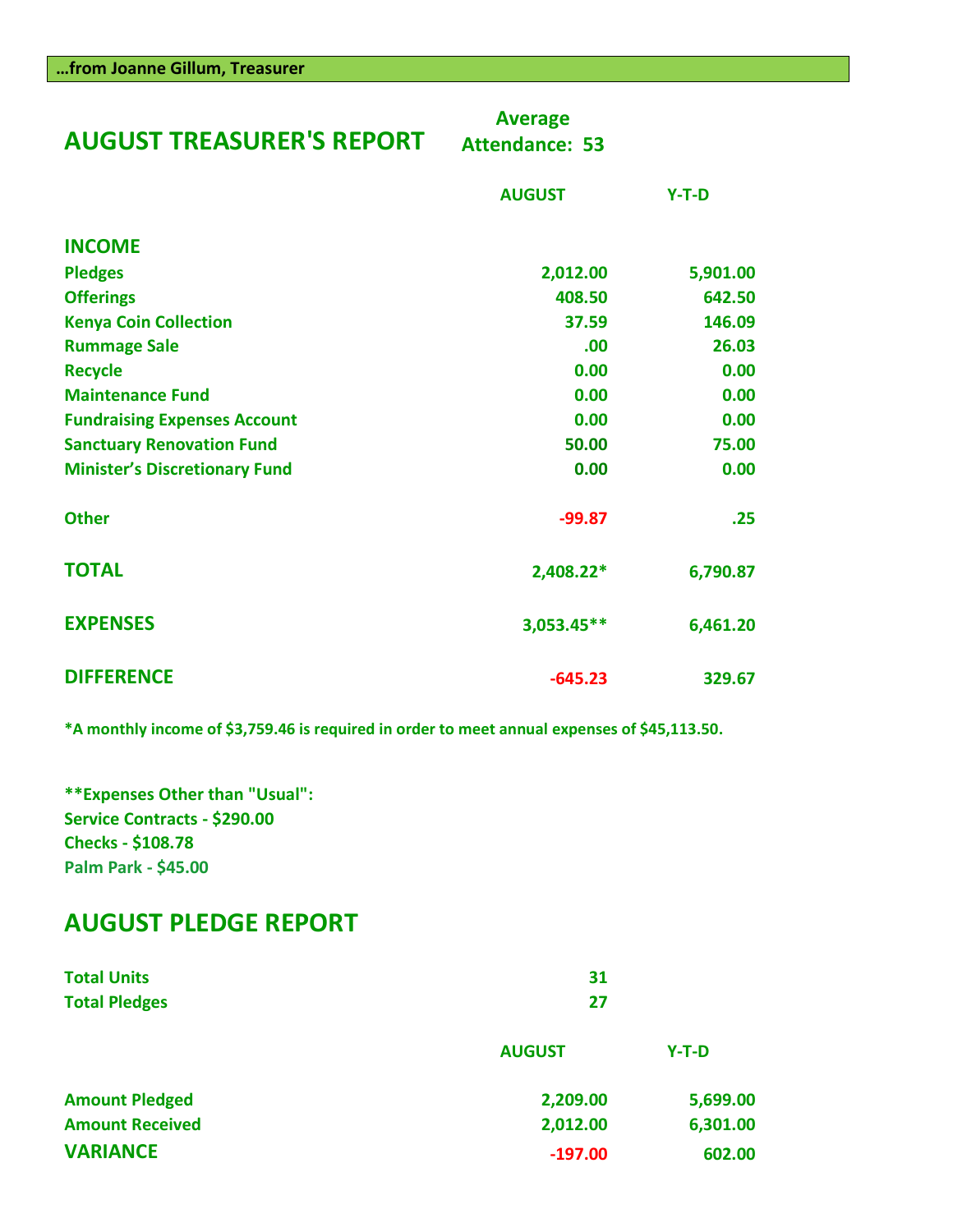|  |  |  | from Joanne Gillum, Treasurer |
|--|--|--|-------------------------------|
|--|--|--|-------------------------------|

| <b>AUGUST TREASURER'S REPORT</b>     | <b>Average</b><br><b>Attendance: 53</b> |          |  |
|--------------------------------------|-----------------------------------------|----------|--|
|                                      | <b>AUGUST</b>                           | $Y-T-D$  |  |
| <b>INCOME</b>                        |                                         |          |  |
| <b>Pledges</b>                       | 2,012.00                                | 5,901.00 |  |
| <b>Offerings</b>                     | 408.50                                  | 642.50   |  |
| <b>Kenya Coin Collection</b>         | 37.59                                   | 146.09   |  |
| <b>Rummage Sale</b>                  | .00                                     | 26.03    |  |
| <b>Recycle</b>                       | 0.00                                    | 0.00     |  |
| <b>Maintenance Fund</b>              | 0.00                                    | 0.00     |  |
| <b>Fundraising Expenses Account</b>  | 0.00                                    | 0.00     |  |
| <b>Sanctuary Renovation Fund</b>     | 50.00                                   | 75.00    |  |
| <b>Minister's Discretionary Fund</b> | 0.00                                    | 0.00     |  |
| <b>Other</b>                         | $-99.87$                                | .25      |  |
| <b>TOTAL</b>                         | 2,408.22*                               | 6,790.87 |  |
| <b>EXPENSES</b>                      | 3,053.45**                              | 6,461.20 |  |
| <b>DIFFERENCE</b>                    | $-645.23$                               | 329.67   |  |

**\*A monthly income of \$3,759.46 is required in order to meet annual expenses of \$45,113.50.**

**\*\*Expenses Other than "Usual": Service Contracts - \$290.00 Checks - \$108.78 Palm Park - \$45.00**

# **AUGUST PLEDGE REPORT**

| <b>Total Units</b>     | 31            |          |  |
|------------------------|---------------|----------|--|
| <b>Total Pledges</b>   | 27            |          |  |
|                        | <b>AUGUST</b> | $Y-T-D$  |  |
| <b>Amount Pledged</b>  | 2,209.00      | 5,699.00 |  |
| <b>Amount Received</b> | 2,012.00      | 6,301.00 |  |
| <b>VARIANCE</b>        | $-197.00$     | 602.00   |  |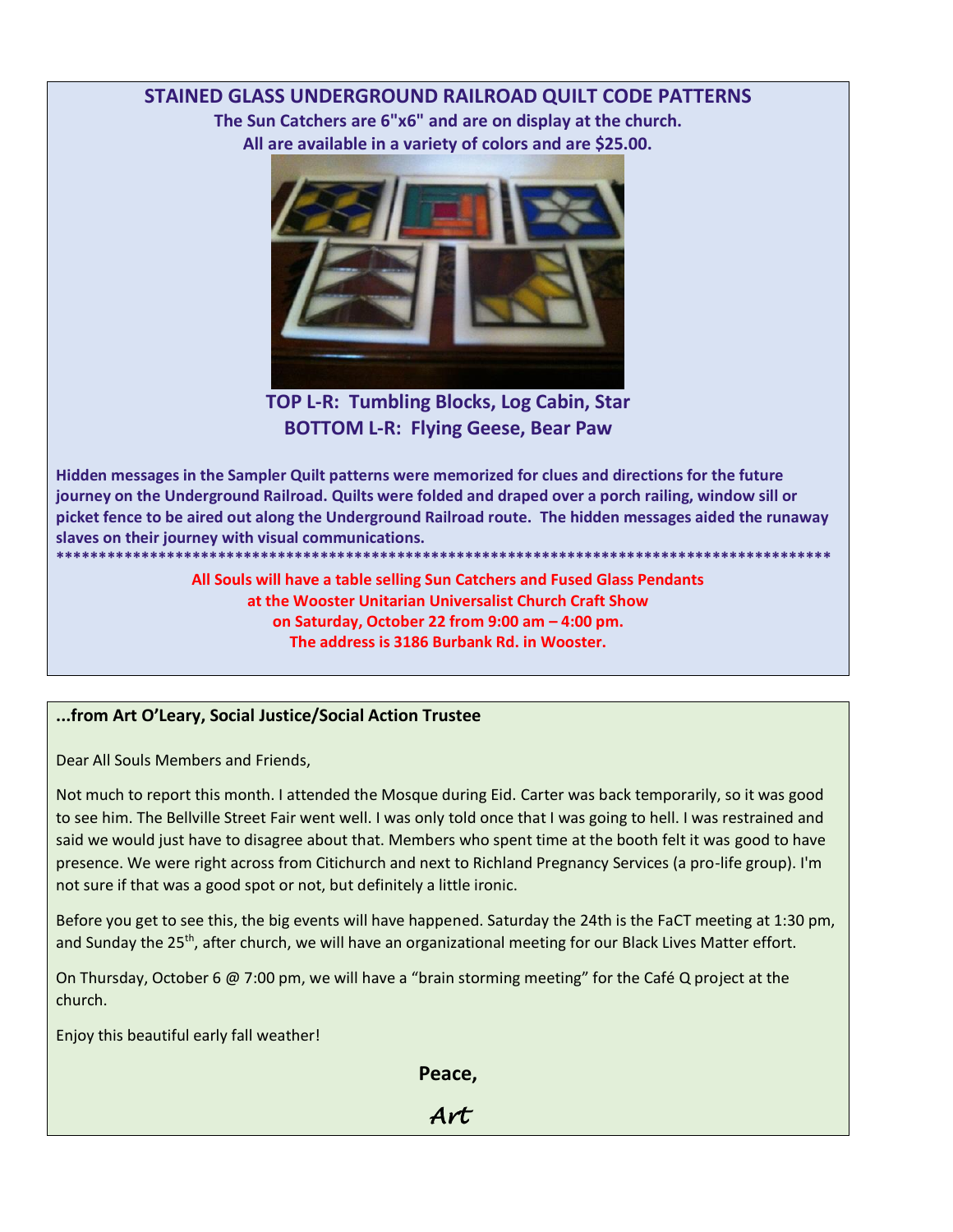# **STAINED GLASS UNDERGROUND RAILROAD QUILT CODE PATTERNS**

**The Sun Catchers are 6"x6" and are on display at the church. All are available in a variety of colors and are \$25.00.**



**TOP L-R: Tumbling Blocks, Log Cabin, Star BOTTOM L-R: Flying Geese, Bear Paw**

**Hidden messages in the Sampler Quilt patterns were memorized for clues and directions for the future journey on the Underground Railroad. Quilts were folded and draped over a porch railing, window sill or picket fence to be aired out along the Underground Railroad route. The hidden messages aided the runaway slaves on their journey with visual communications.**

**\*\*\*\*\*\*\*\*\*\*\*\*\*\*\*\*\*\*\*\*\*\*\*\*\*\*\*\*\*\*\*\*\*\*\*\*\*\*\*\*\*\*\*\*\*\*\*\*\*\*\*\*\*\*\*\*\*\*\*\*\*\*\*\*\*\*\*\*\*\*\*\*\*\*\*\*\*\*\*\*\*\*\*\*\*\*\*\*\*\*\* All Souls will have a table selling Sun Catchers and Fused Glass Pendants at the Wooster Unitarian Universalist Church Craft Show on Saturday, October 22 from 9:00 am – 4:00 pm. The address is 3186 Burbank Rd. in Wooster.**

# **...from Art O'Leary, Social Justice/Social Action Trustee**

Dear All Souls Members and Friends,

Not much to report this month. I attended the Mosque during Eid. Carter was back temporarily, so it was good to see him. The Bellville Street Fair went well. I was only told once that I was going to hell. I was restrained and said we would just have to disagree about that. Members who spent time at the booth felt it was good to have presence. We were right across from Citichurch and next to Richland Pregnancy Services (a pro-life group). I'm not sure if that was a good spot or not, but definitely a little ironic.

Before you get to see this, the big events will have happened. Saturday the 24th is the FaCT meeting at 1:30 pm, and Sunday the 25<sup>th</sup>, after church, we will have an organizational meeting for our Black Lives Matter effort.

On Thursday, October 6 @ 7:00 pm, we will have a "brain storming meeting" for the Café Q project at the church.

Enjoy this beautiful early fall weather!

**Peace,**

*Art*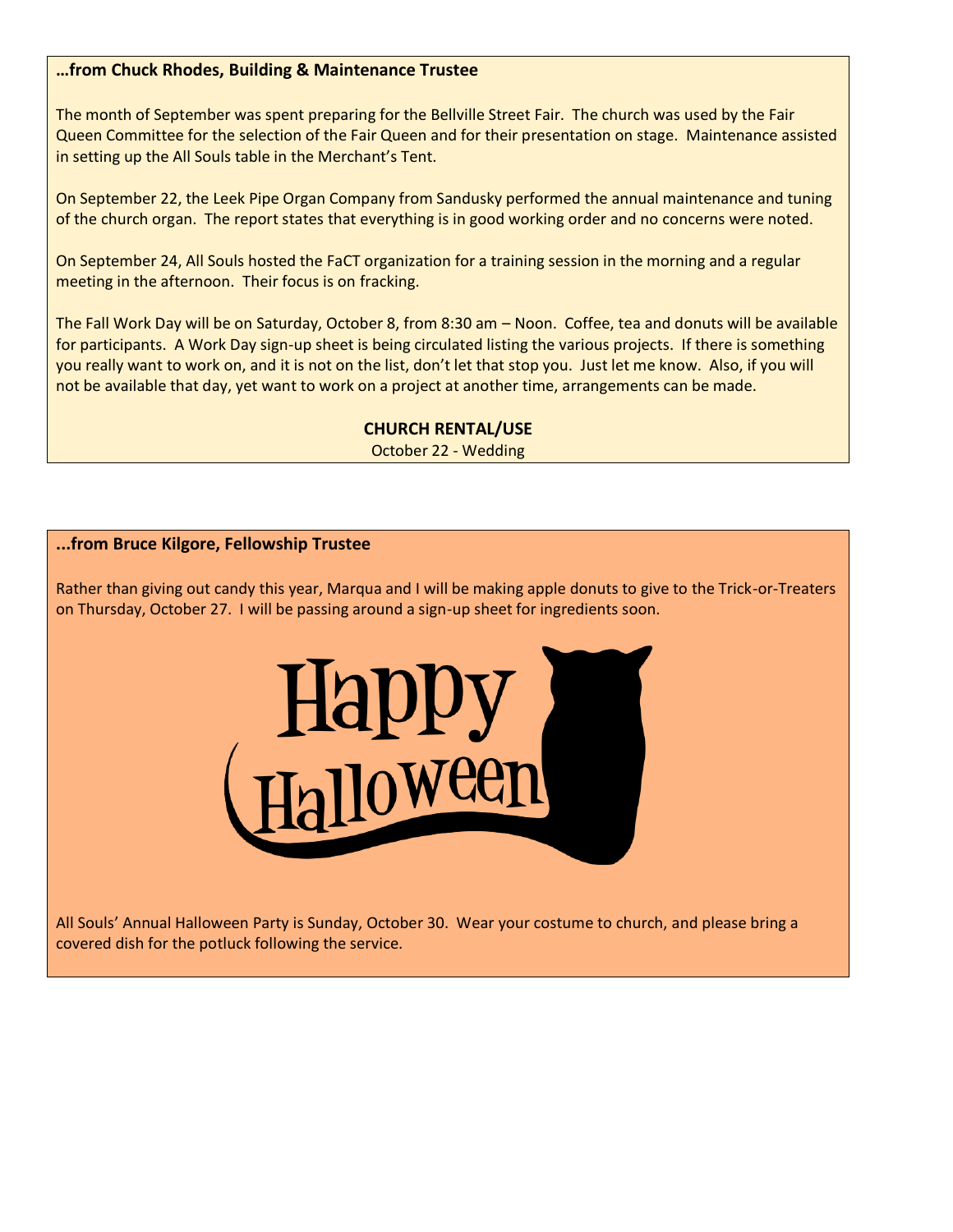## **…from Chuck Rhodes, Building & Maintenance Trustee**

The month of September was spent preparing for the Bellville Street Fair. The church was used by the Fair Queen Committee for the selection of the Fair Queen and for their presentation on stage. Maintenance assisted in setting up the All Souls table in the Merchant's Tent.

On September 22, the Leek Pipe Organ Company from Sandusky performed the annual maintenance and tuning of the church organ. The report states that everything is in good working order and no concerns were noted.

On September 24, All Souls hosted the FaCT organization for a training session in the morning and a regular meeting in the afternoon. Their focus is on fracking.

The Fall Work Day will be on Saturday, October 8, from 8:30 am – Noon. Coffee, tea and donuts will be available for participants. A Work Day sign-up sheet is being circulated listing the various projects. If there is something you really want to work on, and it is not on the list, don't let that stop you. Just let me know. Also, if you will not be available that day, yet want to work on a project at another time, arrangements can be made.

## **CHURCH RENTAL/USE**

October 22 - Wedding

## **...from Bruce Kilgore, Fellowship Trustee**

Rather than giving out candy this year, Marqua and I will be making apple donuts to give to the Trick-or-Treaters on Thursday, October 27. I will be passing around a sign-up sheet for ingredients soon.



All Souls' Annual Halloween Party is Sunday, October 30. Wear your costume to church, and please bring a covered dish for the potluck following the service.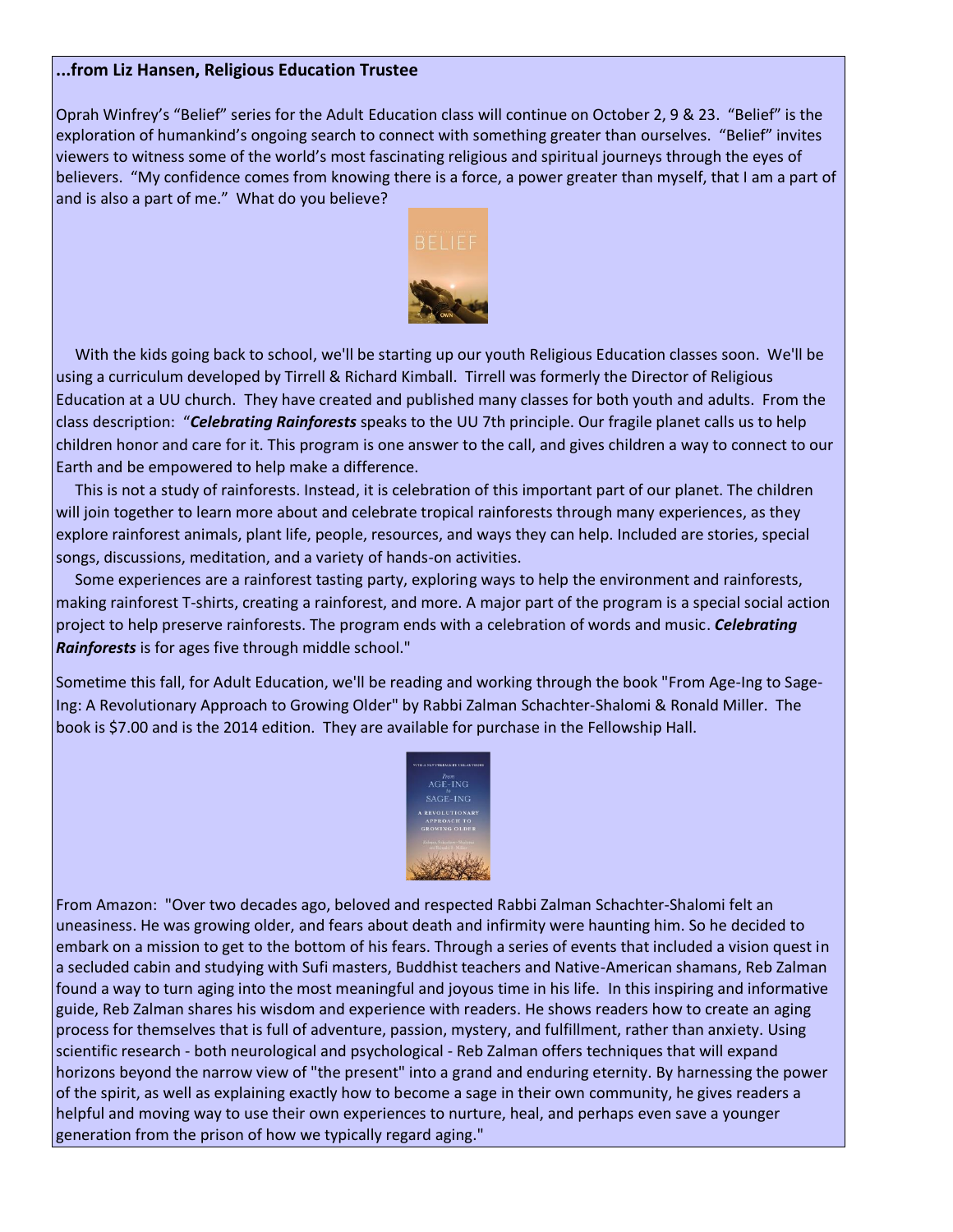#### **...from Liz Hansen, Religious Education Trustee**

Oprah Winfrey's "Belief" series for the Adult Education class will continue on October 2, 9 & 23. "Belief" is the exploration of humankind's ongoing search to connect with something greater than ourselves. "Belief" invites viewers to witness some of the world's most fascinating religious and spiritual journeys through the eyes of believers. "My confidence comes from knowing there is a force, a power greater than myself, that I am a part of and is also a part of me." What do you believe?



 With the kids going back to school, we'll be starting up our youth Religious Education classes soon. We'll be using a curriculum developed by Tirrell & Richard Kimball. Tirrell was formerly the Director of Religious Education at a UU church. They have created and published many classes for both youth and adults. From the class description: "*Celebrating Rainforests* speaks to the UU 7th principle. Our fragile planet calls us to help children honor and care for it. This program is one answer to the call, and gives children a way to connect to our Earth and be empowered to help make a difference.

 This is not a study of rainforests. Instead, it is celebration of this important part of our planet. The children will join together to learn more about and celebrate tropical rainforests through many experiences, as they explore rainforest animals, plant life, people, resources, and ways they can help. Included are stories, special songs, discussions, meditation, and a variety of hands-on activities.

 Some experiences are a rainforest tasting party, exploring ways to help the environment and rainforests, making rainforest T-shirts, creating a rainforest, and more. A major part of the program is a special social action project to help preserve rainforests. The program ends with a celebration of words and music. *Celebrating Rainforests* is for ages five through middle school."

Sometime this fall, for Adult Education, we'll be reading and working through the book "From Age-Ing to Sage-Ing: A Revolutionary Approach to Growing Older" by Rabbi Zalman Schachter-Shalomi & Ronald Miller. The book is \$7.00 and is the 2014 edition. They are available for purchase in the Fellowship Hall.



From Amazon: "Over two decades ago, beloved and respected Rabbi Zalman Schachter-Shalomi felt an uneasiness. He was growing older, and fears about death and infirmity were haunting him. So he decided to embark on a mission to get to the bottom of his fears. Through a series of events that included a vision quest in a secluded cabin and studying with Sufi masters, Buddhist teachers and Native-American shamans, Reb Zalman found a way to turn aging into the most meaningful and joyous time in his life. In this inspiring and informative guide, Reb Zalman shares his wisdom and experience with readers. He shows readers how to create an aging process for themselves that is full of adventure, passion, mystery, and fulfillment, rather than anxiety. Using scientific research - both neurological and psychological - Reb Zalman offers techniques that will expand horizons beyond the narrow view of "the present" into a grand and enduring eternity. By harnessing the power of the spirit, as well as explaining exactly how to become a sage in their own community, he gives readers a helpful and moving way to use their own experiences to nurture, heal, and perhaps even save a younger generation from the prison of how we typically regard aging."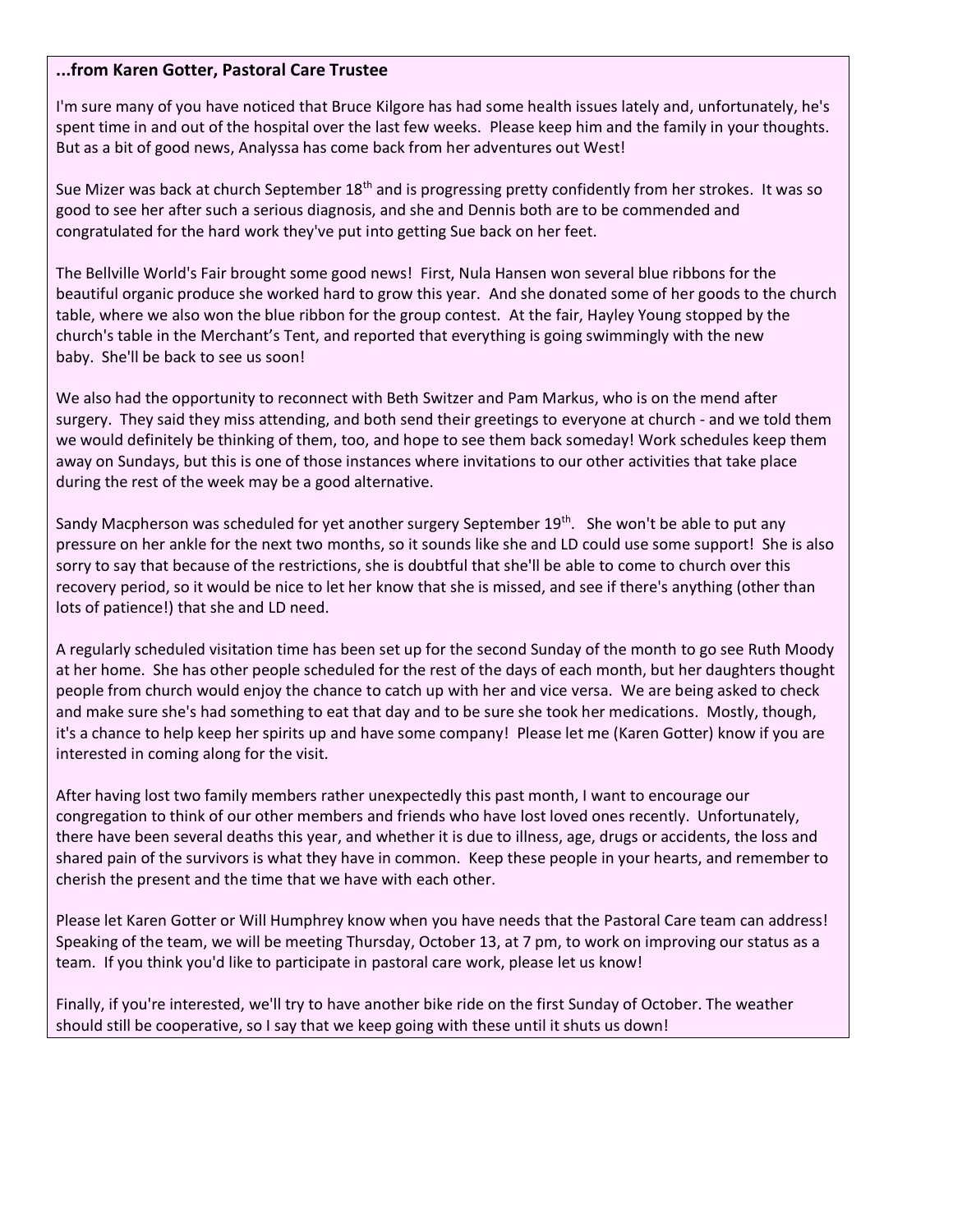#### **...from Karen Gotter, Pastoral Care Trustee**

I'm sure many of you have noticed that Bruce Kilgore has had some health issues lately and, unfortunately, he's spent time in and out of the hospital over the last few weeks. Please keep him and the family in your thoughts. But as a bit of good news, Analyssa has come back from her adventures out West!

Sue Mizer was back at church September 18<sup>th</sup> and is progressing pretty confidently from her strokes. It was so good to see her after such a serious diagnosis, and she and Dennis both are to be commended and congratulated for the hard work they've put into getting Sue back on her feet.

The Bellville World's Fair brought some good news! First, Nula Hansen won several blue ribbons for the beautiful organic produce she worked hard to grow this year. And she donated some of her goods to the church table, where we also won the blue ribbon for the group contest. At the fair, Hayley Young stopped by the church's table in the Merchant's Tent, and reported that everything is going swimmingly with the new baby. She'll be back to see us soon!

We also had the opportunity to reconnect with Beth Switzer and Pam Markus, who is on the mend after surgery. They said they miss attending, and both send their greetings to everyone at church - and we told them we would definitely be thinking of them, too, and hope to see them back someday! Work schedules keep them away on Sundays, but this is one of those instances where invitations to our other activities that take place during the rest of the week may be a good alternative.

Sandy Macpherson was scheduled for yet another surgery September 19<sup>th</sup>. She won't be able to put any pressure on her ankle for the next two months, so it sounds like she and LD could use some support! She is also sorry to say that because of the restrictions, she is doubtful that she'll be able to come to church over this recovery period, so it would be nice to let her know that she is missed, and see if there's anything (other than lots of patience!) that she and LD need.

A regularly scheduled visitation time has been set up for the second Sunday of the month to go see Ruth Moody at her home. She has other people scheduled for the rest of the days of each month, but her daughters thought people from church would enjoy the chance to catch up with her and vice versa. We are being asked to check and make sure she's had something to eat that day and to be sure she took her medications. Mostly, though, it's a chance to help keep her spirits up and have some company! Please let me (Karen Gotter) know if you are interested in coming along for the visit.

After having lost two family members rather unexpectedly this past month, I want to encourage our congregation to think of our other members and friends who have lost loved ones recently. Unfortunately, there have been several deaths this year, and whether it is due to illness, age, drugs or accidents, the loss and shared pain of the survivors is what they have in common. Keep these people in your hearts, and remember to cherish the present and the time that we have with each other.

Please let Karen Gotter or Will Humphrey know when you have needs that the Pastoral Care team can address! Speaking of the team, we will be meeting Thursday, October 13, at 7 pm, to work on improving our status as a team. If you think you'd like to participate in pastoral care work, please let us know!

Finally, if you're interested, we'll try to have another bike ride on the first Sunday of October. The weather should still be cooperative, so I say that we keep going with these until it shuts us down!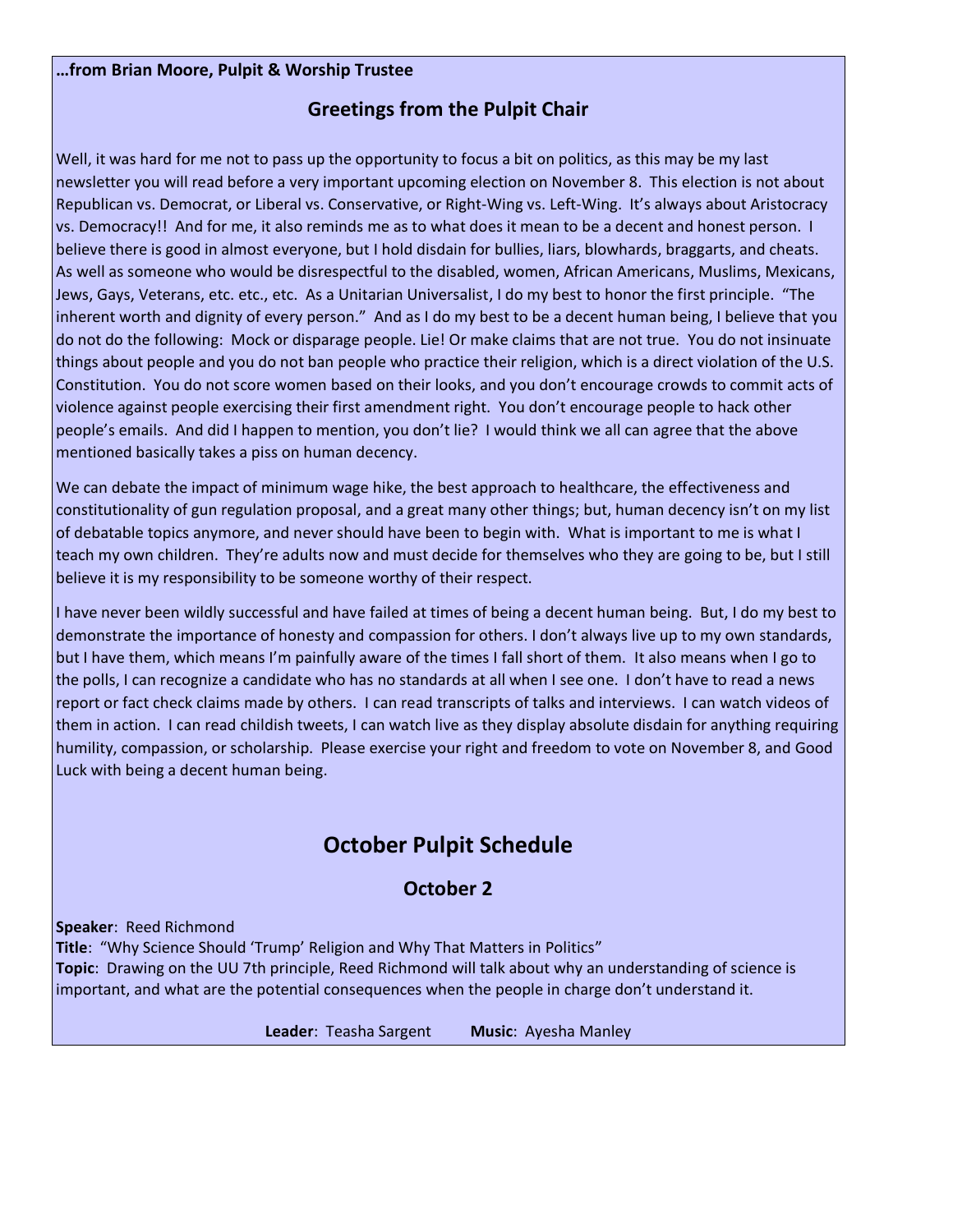#### **…from Brian Moore, Pulpit & Worship Trustee**

# **Greetings from the Pulpit Chair**

Well, it was hard for me not to pass up the opportunity to focus a bit on politics, as this may be my last newsletter you will read before a very important upcoming election on November 8. This election is not about Republican vs. Democrat, or Liberal vs. Conservative, or Right-Wing vs. Left-Wing. It's always about Aristocracy vs. Democracy!! And for me, it also reminds me as to what does it mean to be a decent and honest person. I believe there is good in almost everyone, but I hold disdain for bullies, liars, blowhards, braggarts, and cheats. As well as someone who would be disrespectful to the disabled, women, African Americans, Muslims, Mexicans, Jews, Gays, Veterans, etc. etc., etc. As a Unitarian Universalist, I do my best to honor the first principle. "The inherent worth and dignity of every person." And as I do my best to be a decent human being, I believe that you do not do the following: Mock or disparage people. Lie! Or make claims that are not true. You do not insinuate things about people and you do not ban people who practice their religion, which is a direct violation of the U.S. Constitution. You do not score women based on their looks, and you don't encourage crowds to commit acts of violence against people exercising their first amendment right. You don't encourage people to hack other people's emails. And did I happen to mention, you don't lie? I would think we all can agree that the above mentioned basically takes a piss on human decency.

We can debate the impact of minimum wage hike, the best approach to healthcare, the effectiveness and constitutionality of gun regulation proposal, and a great many other things; but, human decency isn't on my list of debatable topics anymore, and never should have been to begin with. What is important to me is what I teach my own children. They're adults now and must decide for themselves who they are going to be, but I still believe it is my responsibility to be someone worthy of their respect.

I have never been wildly successful and have failed at times of being a decent human being. But, I do my best to demonstrate the importance of honesty and compassion for others. I don't always live up to my own standards, but I have them, which means I'm painfully aware of the times I fall short of them. It also means when I go to the polls, I can recognize a candidate who has no standards at all when I see one. I don't have to read a news report or fact check claims made by others. I can read transcripts of talks and interviews. I can watch videos of them in action. I can read childish tweets, I can watch live as they display absolute disdain for anything requiring humility, compassion, or scholarship. Please exercise your right and freedom to vote on November 8, and Good Luck with being a decent human being.

# **October Pulpit Schedule**

# **October 2**

**Speaker**: Reed Richmond

**Title**: "Why Science Should 'Trump' Religion and Why That Matters in Politics"

**Topic**: Drawing on the UU 7th principle, Reed Richmond will talk about why an understanding of science is important, and what are the potential consequences when the people in charge don't understand it.

**Leader**: Teasha Sargent **Music**: Ayesha Manley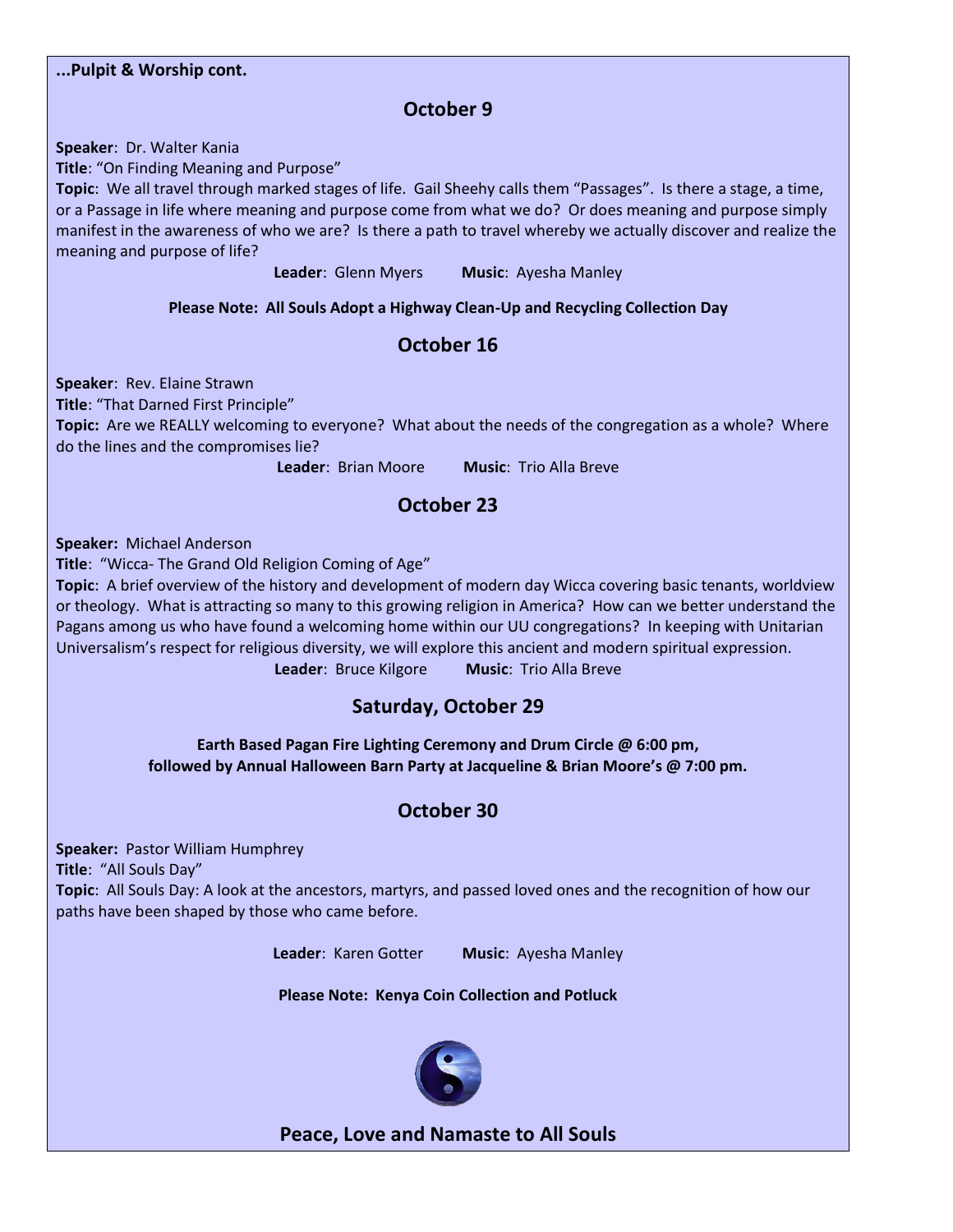# **...Pulpit & Worship cont. October 9 Speaker**: Dr. Walter Kania **Title**: "On Finding Meaning and Purpose" **Topic**: We all travel through marked stages of life. Gail Sheehy calls them "Passages". Is there a stage, a time, or a Passage in life where meaning and purpose come from what we do? Or does meaning and purpose simply manifest in the awareness of who we are? Is there a path to travel whereby we actually discover and realize the meaning and purpose of life? **Leader**: Glenn Myers **Music**: Ayesha Manley **Please Note: All Souls Adopt a Highway Clean-Up and Recycling Collection Day October 16 Speaker**: Rev. Elaine Strawn **Title**: "That Darned First Principle" **Topic:** Are we REALLY welcoming to everyone? What about the needs of the congregation as a whole? Where do the lines and the compromises lie? **Leader**: Brian Moore **Music**: Trio Alla Breve **October 23 Speaker:** Michael Anderson **Title**: "Wicca- The Grand Old Religion Coming of Age" **Topic**: A brief overview of the history and development of modern day Wicca covering basic tenants, worldview or theology. What is attracting so many to this growing religion in America? How can we better understand the Pagans among us who have found a welcoming home within our UU congregations? In keeping with Unitarian Universalism's respect for religious diversity, we will explore this ancient and modern spiritual expression. **Leader**: Bruce Kilgore **Music**: Trio Alla Breve **Saturday, October 29 Earth Based Pagan Fire Lighting Ceremony and Drum Circle @ 6:00 pm, followed by Annual Halloween Barn Party at Jacqueline & Brian Moore's @ 7:00 pm. October 30 Speaker:** Pastor William Humphrey **Title**: "All Souls Day" **Topic**: All Souls Day: A look at the ancestors, martyrs, and passed loved ones and the recognition of how our paths have been shaped by those who came before. **Leader**: Karen Gotter **Music**: Ayesha Manley **Please Note: Kenya Coin Collection and Potluck**



**Peace, Love and Namaste to All Souls**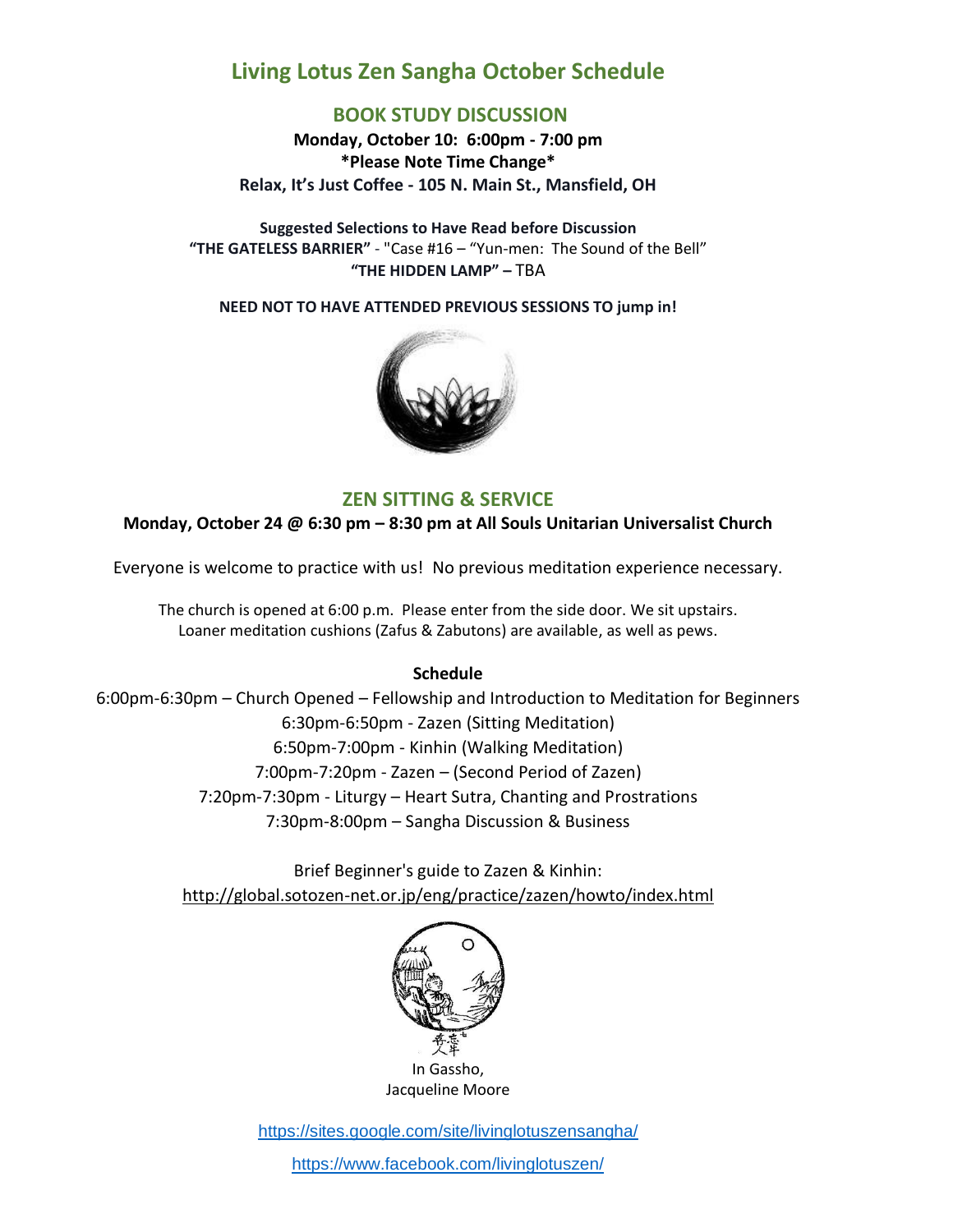# **Living Lotus Zen Sangha October Schedule**

# **BOOK STUDY DISCUSSION**

**Monday, October 10: 6:00pm - 7:00 pm \*Please Note Time Change\* Relax, It's Just Coffee - 105 N. Main St., Mansfield, OH**

**Suggested Selections to Have Read before Discussion "THE GATELESS BARRIER"** - "Case #16 – "Yun-men: The Sound of the Bell" **"THE HIDDEN LAMP" –** TBA

**NEED NOT TO HAVE ATTENDED PREVIOUS SESSIONS TO jump in!**



## **ZEN SITTING & SERVICE**

**Monday, October 24 @ 6:30 pm – 8:30 pm at All Souls Unitarian Universalist Church**

Everyone is welcome to practice with us! No previous meditation experience necessary.

The church is opened at 6:00 p.m. Please enter from the side door. We sit upstairs. Loaner meditation cushions (Zafus & Zabutons) are available, as well as pews.

#### **Schedule**

6:00pm-6:30pm – Church Opened – Fellowship and Introduction to Meditation for Beginners 6:30pm-6:50pm - Zazen (Sitting Meditation) 6:50pm-7:00pm - Kinhin (Walking Meditation) 7:00pm-7:20pm - Zazen – (Second Period of Zazen) 7:20pm-7:30pm - Liturgy – Heart Sutra, Chanting and Prostrations 7:30pm-8:00pm – Sangha Discussion & Business

> Brief Beginner's guide to Zazen & Kinhin: [http://global.sotozen-net.or.jp/eng/practice/zazen/howto/index.html](http://l.facebook.com/?u=http%3A%2F%2Fglobal.sotozen-net.or.jp%2Feng%2Fpractice%2Fzazen%2Fhowto%2Findex.html&e=ATOXqawJM1--9N9v8oPw8oyhjopfFmZVyt2JFfRZL-qFiiYq8uBExuSIEUOSpg)



Jacqueline Moore

<https://sites.google.com/site/livinglotuszensangha/>

<https://www.facebook.com/livinglotuszen/>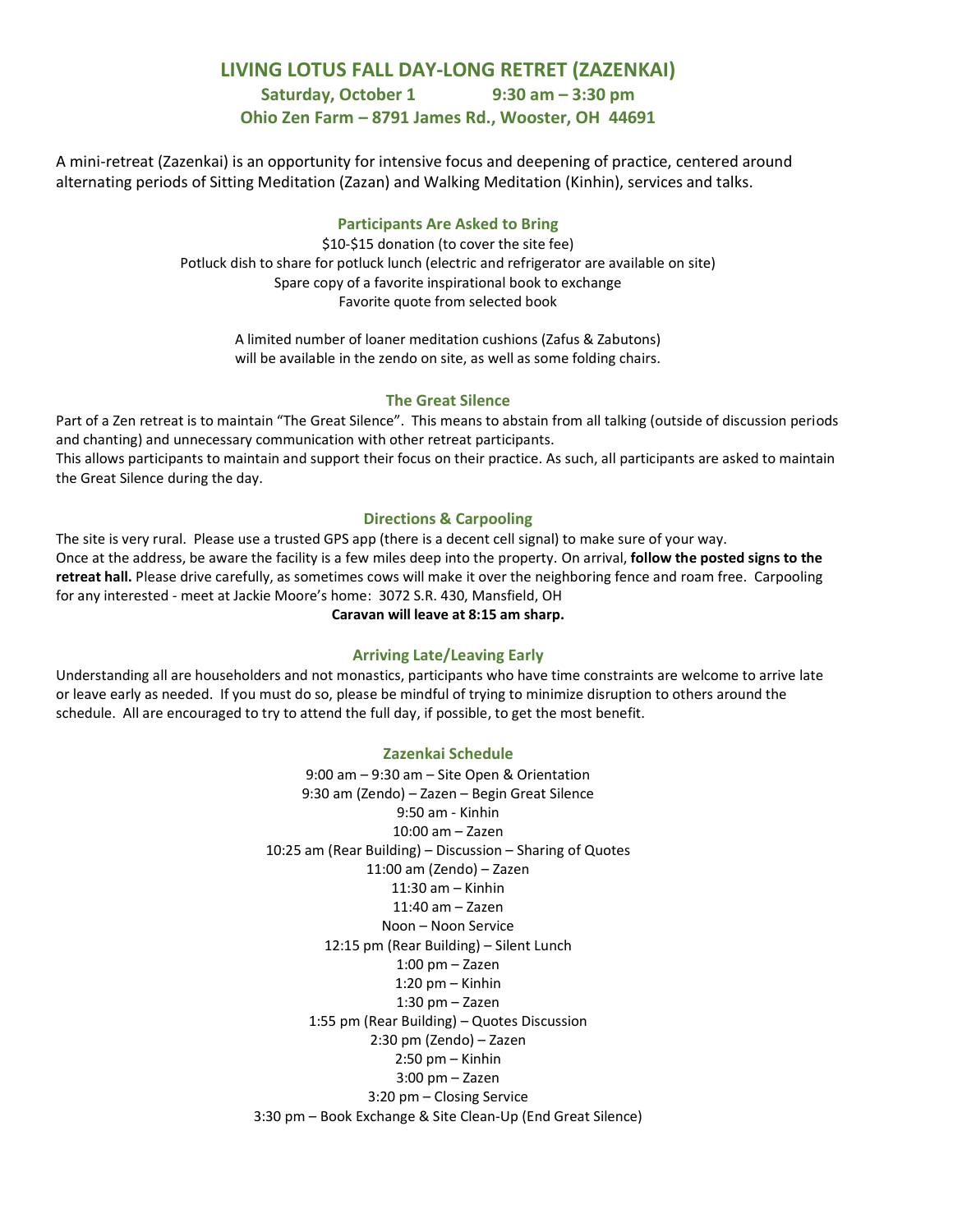## **LIVING LOTUS FALL DAY-LONG RETRET (ZAZENKAI)**

**Saturday, October 1 9:30 am – 3:30 pm**

#### **Ohio Zen Farm – 8791 James Rd., Wooster, OH 44691**

A mini-retreat (Zazenkai) is an opportunity for intensive focus and deepening of practice, centered around alternating periods of Sitting Meditation (Zazan) and Walking Meditation (Kinhin), services and talks.

#### **Participants Are Asked to Bring**

\$10-\$15 donation (to cover the site fee) Potluck dish to share for potluck lunch (electric and refrigerator are available on site) Spare copy of a favorite inspirational book to exchange Favorite quote from selected book

A limited number of loaner meditation cushions (Zafus & Zabutons) will be available in the zendo on site, as well as some folding chairs.

#### **The Great Silence**

Part of a Zen retreat is to maintain "The Great Silence". This means to abstain from all talking (outside of discussion periods and chanting) and unnecessary communication with other retreat participants. This allows participants to maintain and support their focus on their practice. As such, all participants are asked to maintain the Great Silence during the day.

#### **Directions & Carpooling**

The site is very rural. Please use a trusted GPS app (there is a decent cell signal) to make sure of your way. Once at the address, be aware the facility is a few miles deep into the property. On arrival, **follow the posted signs to the retreat hall.** Please drive carefully, as sometimes cows will make it over the neighboring fence and roam free. Carpooling for any interested - meet at Jackie Moore's home: 3072 S.R. 430, Mansfield, OH

**Caravan will leave at 8:15 am sharp.**

#### **Arriving Late/Leaving Early**

Understanding all are householders and not monastics, participants who have time constraints are welcome to arrive late or leave early as needed. If you must do so, please be mindful of trying to minimize disruption to others around the schedule. All are encouraged to try to attend the full day, if possible, to get the most benefit.

#### **Zazenkai Schedule**

9:00 am – 9:30 am – Site Open & Orientation 9:30 am (Zendo) – Zazen – Begin Great Silence 9:50 am - Kinhin 10:00 am – Zazen 10:25 am (Rear Building) – Discussion – Sharing of Quotes 11:00 am (Zendo) – Zazen 11:30 am – Kinhin 11:40 am – Zazen Noon – Noon Service 12:15 pm (Rear Building) – Silent Lunch 1:00 pm – Zazen 1:20 pm – Kinhin 1:30 pm – Zazen 1:55 pm (Rear Building) – Quotes Discussion 2:30 pm (Zendo) – Zazen 2:50 pm – Kinhin 3:00 pm – Zazen 3:20 pm – Closing Service 3:30 pm – Book Exchange & Site Clean-Up (End Great Silence)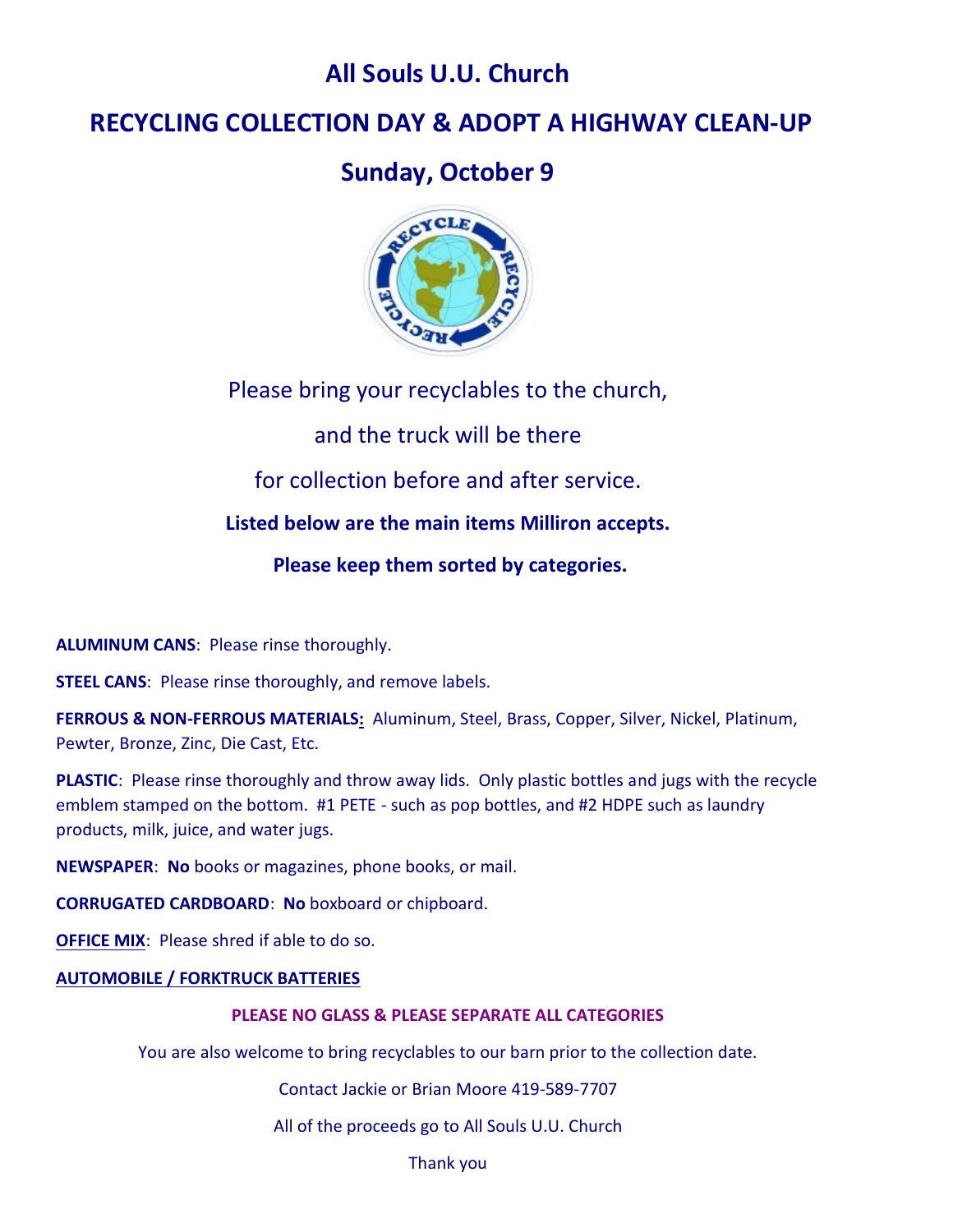# **All Souls U.U. Church**

# **RECYCLING COLLECTION DAY & ADOPT A HIGHWAY CLEAN-UP**

# **Sunday, October 9**



Please bring your recyclables to the church,

and the truck will be there

for collection before and after service.

**Listed below are the main items Milliron accepts.**

**Please keep them sorted by categories.**

**ALUMINUM CANS**: Please rinse thoroughly.

**STEEL CANS:** Please rinse thoroughly, and remove labels.

**FERROUS & NON-FERROUS MATERIALS:** Aluminum, Steel, Brass, Copper, Silver, Nickel, Platinum, Pewter, Bronze, Zinc, Die Cast, Etc.

**PLASTIC**: Please rinse thoroughly and throw away lids. Only plastic bottles and jugs with the recycle emblem stamped on the bottom. #1 PETE - such as pop bottles, and #2 HDPE such as laundry products, milk, juice, and water jugs.

**NEWSPAPER**: **No** books or magazines, phone books, or mail.

**CORRUGATED CARDBOARD**: **No** boxboard or chipboard.

**OFFICE MIX:** Please shred if able to do so.

# **AUTOMOBILE / FORKTRUCK BATTERIES**

# **PLEASE NO GLASS & PLEASE SEPARATE ALL CATEGORIES**

You are also welcome to bring recyclables to our barn prior to the collection date.

Contact Jackie or Brian Moore 419-589-7707

All of the proceeds go to All Souls U.U. Church

Thank you